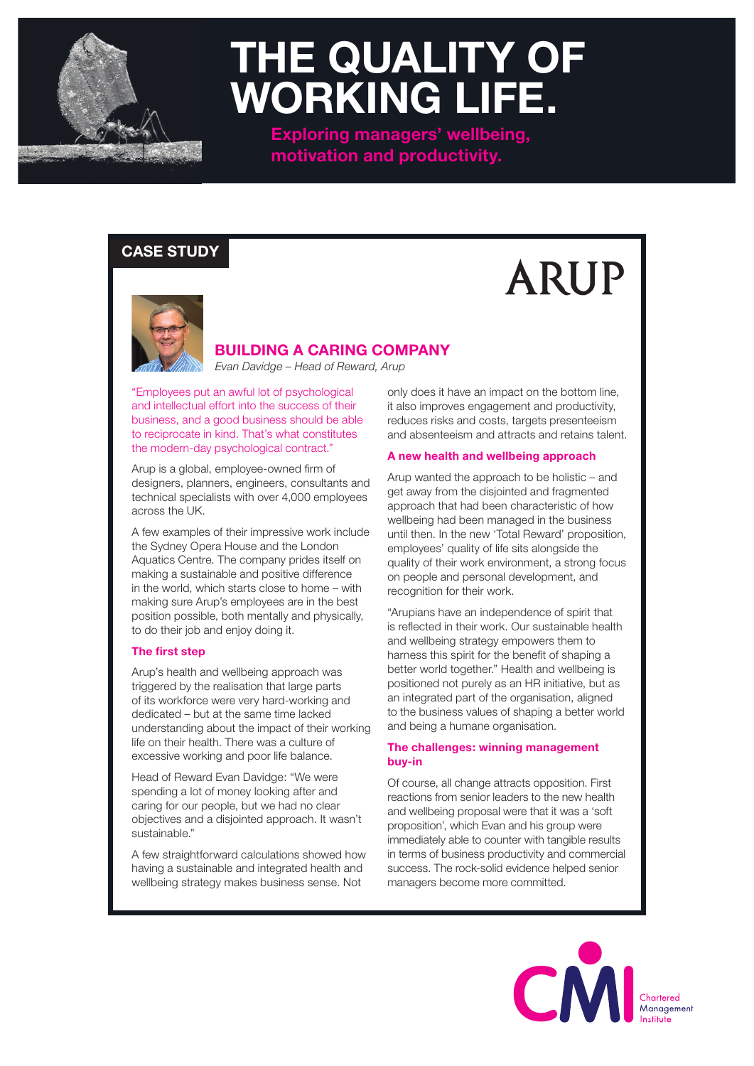

## **THE QUALITY OF WORKING LIFE.**

**Exploring managers' wellbeing, motivation and productivity.**

### **CASE STUDY**



## **BUILDING A CARING COMPANY**

*Evan Davidge – Head of Reward, Arup*

"Employees put an awful lot of psychological and intellectual effort into the success of their business, and a good business should be able to reciprocate in kind. That's what constitutes the modern-day psychological contract."

Arup is a global, employee-owned firm of designers, planners, engineers, consultants and technical specialists with over 4,000 employees across the UK.

A few examples of their impressive work include the Sydney Opera House and the London Aquatics Centre. The company prides itself on making a sustainable and positive difference in the world, which starts close to home – with making sure Arup's employees are in the best position possible, both mentally and physically, to do their job and enjoy doing it.

#### **The first step**

Arup's health and wellbeing approach was triggered by the realisation that large parts of its workforce were very hard-working and dedicated – but at the same time lacked understanding about the impact of their working life on their health. There was a culture of excessive working and poor life balance.

Head of Reward Evan Davidge: "We were spending a lot of money looking after and caring for our people, but we had no clear objectives and a disjointed approach. It wasn't sustainable."

A few straightforward calculations showed how having a sustainable and integrated health and wellbeing strategy makes business sense. Not

only does it have an impact on the bottom line, it also improves engagement and productivity, reduces risks and costs, targets presenteeism and absenteeism and attracts and retains talent.

**ARUP** 

#### **A new health and wellbeing approach**

Arup wanted the approach to be holistic – and get away from the disjointed and fragmented approach that had been characteristic of how wellbeing had been managed in the business until then. In the new 'Total Reward' proposition, employees' quality of life sits alongside the quality of their work environment, a strong focus on people and personal development, and recognition for their work.

"Arupians have an independence of spirit that is reflected in their work. Our sustainable health and wellbeing strategy empowers them to harness this spirit for the benefit of shaping a better world together." Health and wellbeing is positioned not purely as an HR initiative, but as an integrated part of the organisation, aligned to the business values of shaping a better world and being a humane organisation.

#### **The challenges: winning management buy-in**

Of course, all change attracts opposition. First reactions from senior leaders to the new health and wellbeing proposal were that it was a 'soft proposition', which Evan and his group were immediately able to counter with tangible results in terms of business productivity and commercial success. The rock-solid evidence helped senior managers become more committed.

> CM Management